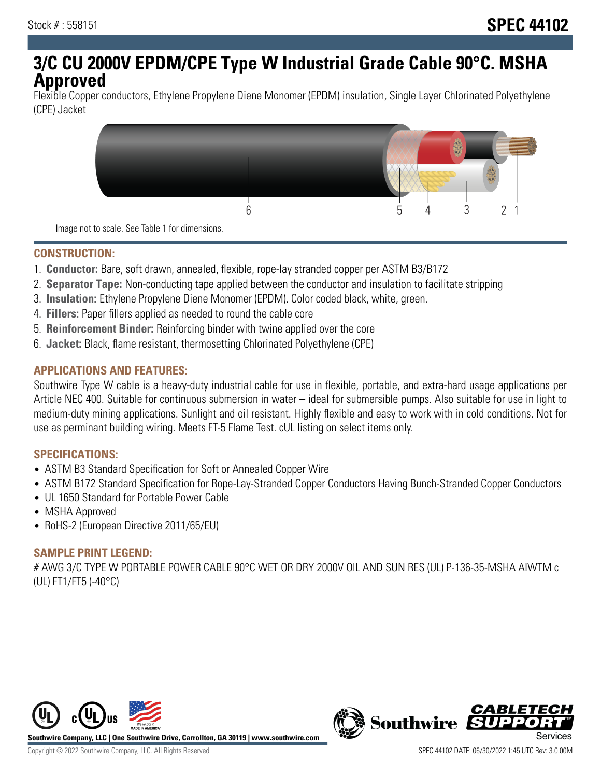# **3/C CU 2000V EPDM/CPE Type W Industrial Grade Cable 90°C. MSHA Approved**

Flexible Copper conductors, Ethylene Propylene Diene Monomer (EPDM) insulation, Single Layer Chlorinated Polyethylene (CPE) Jacket



Image not to scale. See Table 1 for dimensions.

## **CONSTRUCTION:**

- 1. **Conductor:** Bare, soft drawn, annealed, flexible, rope-lay stranded copper per ASTM B3/B172
- 2. **Separator Tape:** Non-conducting tape applied between the conductor and insulation to facilitate stripping
- 3. **Insulation:** Ethylene Propylene Diene Monomer (EPDM). Color coded black, white, green.
- 4. **Fillers:** Paper fillers applied as needed to round the cable core
- 5. **Reinforcement Binder:** Reinforcing binder with twine applied over the core
- 6. **Jacket:** Black, flame resistant, thermosetting Chlorinated Polyethylene (CPE)

## **APPLICATIONS AND FEATURES:**

Southwire Type W cable is a heavy-duty industrial cable for use in flexible, portable, and extra-hard usage applications per Article NEC 400. Suitable for continuous submersion in water – ideal for submersible pumps. Also suitable for use in light to medium-duty mining applications. Sunlight and oil resistant. Highly flexible and easy to work with in cold conditions. Not for use as perminant building wiring. Meets FT-5 Flame Test. cUL listing on select items only.

#### **SPECIFICATIONS:**

- ASTM B3 Standard Specification for Soft or Annealed Copper Wire
- ASTM B172 Standard Specification for Rope-Lay-Stranded Copper Conductors Having Bunch-Stranded Copper Conductors
- UL 1650 Standard for Portable Power Cable
- MSHA Approved
- RoHS-2 (European Directive 2011/65/EU)

#### **SAMPLE PRINT LEGEND:**

# AWG 3/C TYPE W PORTABLE POWER CABLE 90°C WET OR DRY 2000V OIL AND SUN RES (UL) P-136-35-MSHA AIWTM c (UL) FT1/FT5 (-40°C)